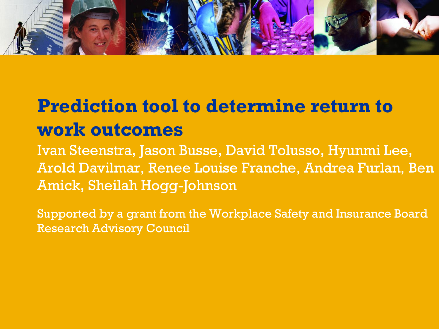

# **Prediction tool to determine return to work outcomes**

Ivan Steenstra, Jason Busse, David Tolusso, Hyunmi Lee, Arold Davilmar, Renee Louise Franche, Andrea Furlan, Ben Amick, Sheilah Hogg-Johnson

Supported by a grant from the Workplace Safety and Insurance Board Research Advisory Council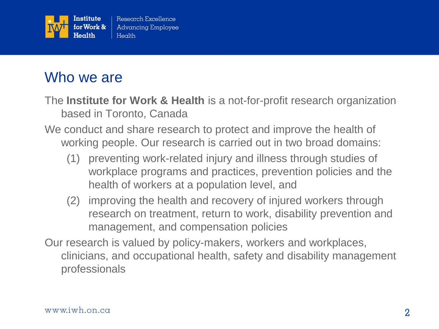

## Who we are

The **Institute for Work & Health** is a not-for-profit research organization based in Toronto, Canada

- We conduct and share research to protect and improve the health of working people. Our research is carried out in two broad domains:
	- (1) preventing work-related injury and illness through studies of workplace programs and practices, prevention policies and the health of workers at a population level, and
	- (2) improving the health and recovery of injured workers through research on treatment, return to work, disability prevention and management, and compensation policies
- Our research is valued by policy-makers, workers and workplaces, clinicians, and occupational health, safety and disability management professionals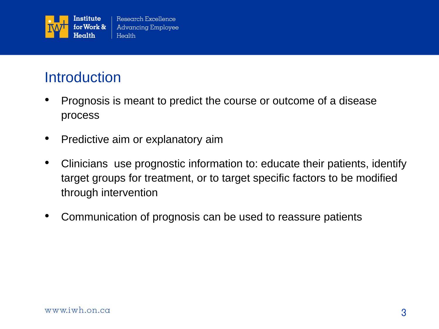

## **Introduction**

- Prognosis is meant to predict the course or outcome of a disease process
- Predictive aim or explanatory aim
- Clinicians use prognostic information to: educate their patients, identify target groups for treatment, or to target specific factors to be modified through intervention
- Communication of prognosis can be used to reassure patients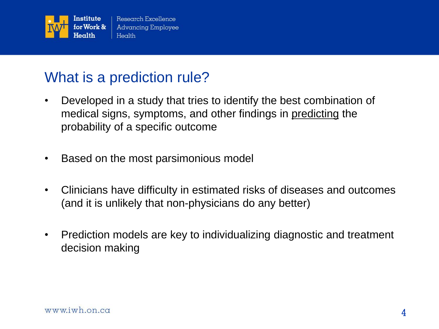

## What is a prediction rule?

- Developed in a study that tries to identify the best combination of medical signs, symptoms, and other findings in predicting the probability of a specific outcome
- Based on the most parsimonious model
- Clinicians have difficulty in estimated risks of diseases and outcomes (and it is unlikely that non-physicians do any better)
- Prediction models are key to individualizing diagnostic and treatment decision making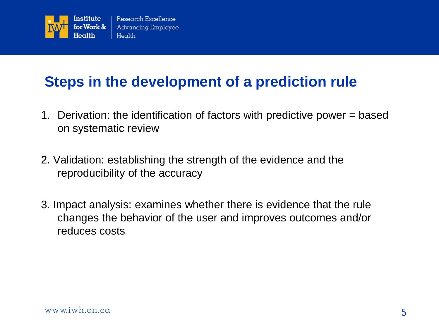

## **Steps in the development of a prediction rule**

- 1. Derivation: the identification of factors with predictive power = based on systematic review
- 2. Validation: establishing the strength of the evidence and the reproducibility of the accuracy
- 3. Impact analysis: examines whether there is evidence that the rule changes the behavior of the user and improves outcomes and/or reduces costs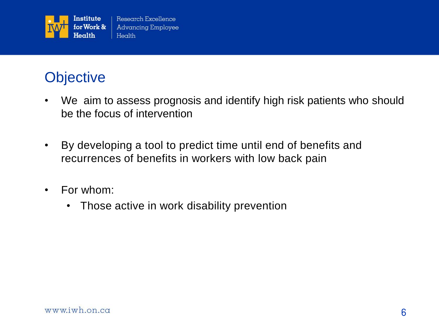

## **Objective**

- We aim to assess prognosis and identify high risk patients who should be the focus of intervention
- By developing a tool to predict time until end of benefits and recurrences of benefits in workers with low back pain
- For whom:
	- Those active in work disability prevention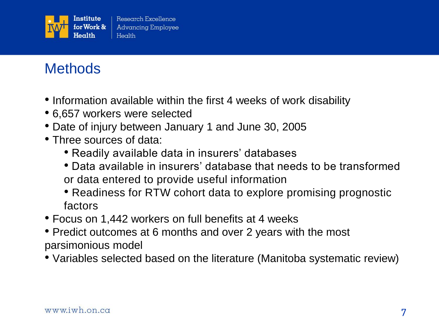

# **Methods**

- Information available within the first 4 weeks of work disability
- 6,657 workers were selected
- Date of injury between January 1 and June 30, 2005
- Three sources of data:
	- Readily available data in insurers' databases
	- Data available in insurers' database that needs to be transformed or data entered to provide useful information
	- Readiness for RTW cohort data to explore promising prognostic factors
- Focus on 1,442 workers on full benefits at 4 weeks
- Predict outcomes at 6 months and over 2 years with the most parsimonious model
- Variables selected based on the literature (Manitoba systematic review)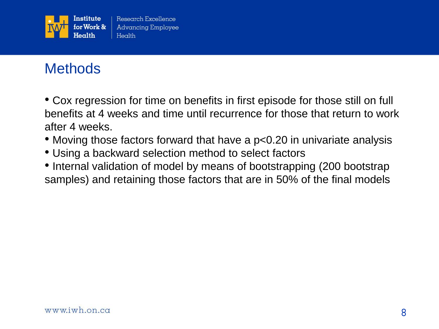

# **Methods**

• Cox regression for time on benefits in first episode for those still on full benefits at 4 weeks and time until recurrence for those that return to work after 4 weeks.

- Moving those factors forward that have a p<0.20 in univariate analysis
- Using a backward selection method to select factors
- Internal validation of model by means of bootstrapping (200 bootstrap samples) and retaining those factors that are in 50% of the final models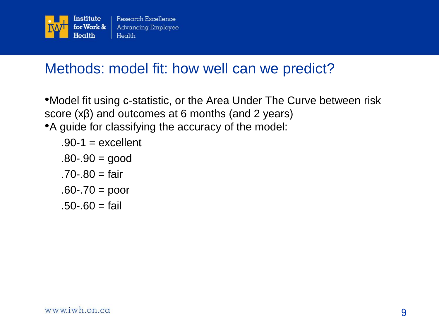

## Methods: model fit: how well can we predict?

- •Model fit using c-statistic, or the Area Under The Curve between risk score  $(x\beta)$  and outcomes at 6 months (and 2 years)
- •A guide for classifying the accuracy of the model:

$$
.90-1 = excellent
$$

$$
.80-.90 = good
$$

 $.70 - .80 = 10$ 

$$
.60-.70=poor
$$

 $.50 - .60 = \text{fail}$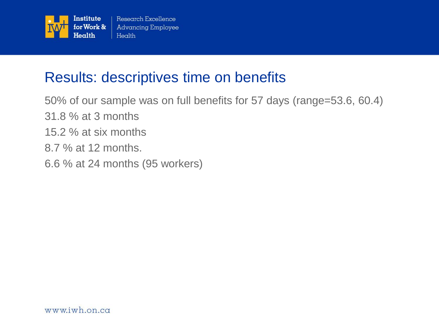

## Results: descriptives time on benefits

50% of our sample was on full benefits for 57 days (range=53.6, 60.4) 31.8 % at 3 months

- 15.2 % at six months
- 8.7 % at 12 months.
- 6.6 % at 24 months (95 workers)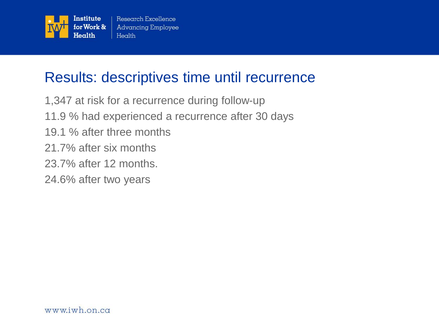

## Results: descriptives time until recurrence

1,347 at risk for a recurrence during follow-up 11.9 % had experienced a recurrence after 30 days 19.1 % after three months 21.7% after six months 23.7% after 12 months. 24.6% after two years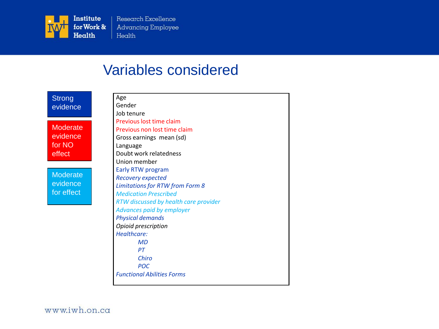

Research Excellence **Advancing Employee** Health

## Variables considered

| <b>Strong</b>   | Age                                    |
|-----------------|----------------------------------------|
| evidence        | Gender                                 |
|                 | Job tenure                             |
|                 | Previous lost time claim               |
| <b>Moderate</b> | Previous non lost time claim           |
| evidence        | Gross earnings mean (sd)               |
| for NO          | Language                               |
| effect          | Doubt work relatedness                 |
|                 | Union member                           |
| <b>Moderate</b> | Early RTW program                      |
|                 | <b>Recovery expected</b>               |
| evidence        | <b>Limitations for RTW from Form 8</b> |
| for effect      | <b>Medication Prescribed</b>           |
|                 | RTW discussed by health care provider  |
|                 | Advances paid by employer              |
|                 | <b>Physical demands</b>                |
|                 | Opioid prescription                    |
|                 | Healthcare:                            |
|                 | MD                                     |
|                 | PT                                     |
|                 | Chiro                                  |
|                 | <b>POC</b>                             |
|                 | <b>Functional Abilities Forms</b>      |
|                 |                                        |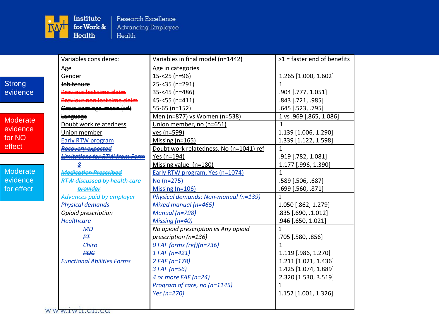

Research Excellence Advancing Employee  $Health$ 

|                 | Variables considered:                      | Variables in final model (n=1442)       | $>1$ = faster end of benefits |
|-----------------|--------------------------------------------|-----------------------------------------|-------------------------------|
|                 | Age                                        | Age in categories                       |                               |
|                 | Gender                                     | $15 - 25$ (n=96)                        | 1.265 [1.000, 1.602]          |
| <b>Strong</b>   | Job tenure                                 | 25-<35 (n=291)                          | 1                             |
| evidence        | Previous lost time claim                   | 35-<45 (n=486)                          | .904 [.777, 1.051]            |
|                 | Previous non lost time claim               | $45 - 55$ (n=411)                       | .843 [.721, .985]             |
|                 | Gross earnings mean (sd)                   | 55-65 (n=152)                           | .645 [.523, .795]             |
| <b>Moderate</b> | <b>Language</b>                            | Men (n=877) vs Women (n=538)            | 1 vs .969 [.865, 1.086]       |
| evidence        | Doubt work relatedness                     | Union member, no (n=651)                | $\mathbf{1}$                  |
|                 | Union member                               | yes (n=599)                             | 1.139 [1.006, 1.290]          |
| for NO          | Early RTW program                          | Missing $(n=165)$                       | 1.339 [1.122, 1.598]          |
| effect          | <del>Recovery expected</del>               | Doubt work relatedness, No (n=1041) ref | $\mathbf{1}$                  |
|                 | <del>Limitations for RTW from Form</del>   | Yes (n=194)                             | .919 [.782, 1.081]            |
|                 | 용                                          | Missing value (n=180)                   | 1.177 [.996, 1.390]           |
| Moderate        | <i><u><b>Medication Prescriber</b></u></i> | Early RTW program, Yes (n=1074)         | $\mathbf{1}$                  |
| evidence        | RTW discussed by health                    | No (n=275)                              | .589 [.506, .687]             |
| for effect      |                                            | Missing $(n=106)$                       | .699 [.560, .871]             |
|                 | .<br><del>Advances paid by emplo</del>     | Physical demands: Non-manual (n=139)    | 1                             |
|                 | <b>Physical demands</b>                    | Mixed manual (n=465)                    | 1.050 [.862, 1.279]           |
|                 | Opioid prescription                        | <b>Manual (n=798)</b>                   | .835 [.690, .1.012]           |
|                 | <b>Healthcare</b>                          | Missing $(n=40)$                        | .946 [.650, 1.021]            |
|                 | A                                          | No opioid prescription vs Any opioid    | 1                             |
|                 | ₽∓                                         | prescription (n=136)                    | .705 [.580, .856]             |
|                 | Chire                                      | 0 FAF forms (ref)(n=736)                | $\mathbf{1}$                  |
|                 | <b>POG</b>                                 | $1$ FAF (n=421)                         | 1.119 [.986, 1.270]           |
|                 | <b>Functional Abilities Forms</b>          | $2$ FAF (n=178)                         | 1.211 [1.021, 1.436]          |
|                 |                                            | $3$ FAF (n=56)                          | 1.425 [1.074, 1.889]          |
|                 |                                            | 4 or more FAF (n=24)                    | 2.320 [1.530, 3.519]          |
|                 |                                            | Program of care, no (n=1145)            | 1                             |
|                 |                                            | Yes (n=270)                             | 1.152 [1.001, 1.326]          |
|                 | $-1$ $-1$                                  |                                         |                               |

ww<del>w.iwh.on.ca</del>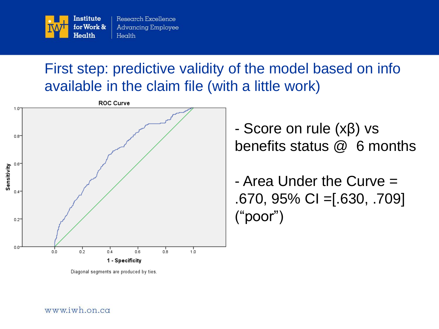

## First step: predictive validity of the model based on info available in the claim file (with a little work)



Diagonal segments are produced by ties.

- Score on rule (xβ) vs benefits status @ 6 months

- Area Under the Curve = .670, 95% CI =[.630, .709] ("poor")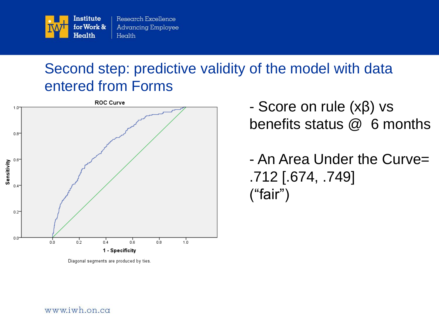

## Second step: predictive validity of the model with data entered from Forms



Diagonal segments are produced by ties.

- Score on rule (xβ) vs benefits status @ 6 months

- An Area Under the Curve= .712 [.674, .749] ("fair")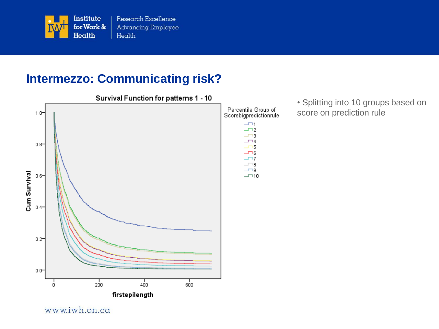

### **Intermezzo: Communicating risk?**



www.iwh.on.ca

Survival Function for patterns 1 - 10



• Splitting into 10 groups based on score on prediction rule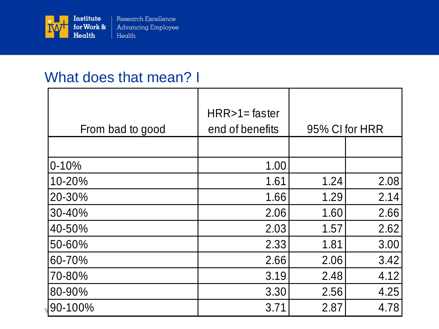

## What does that mean? I

| From bad to good | $HRR>1=$ faster<br>end of benefits | 95% CI for HRR |      |
|------------------|------------------------------------|----------------|------|
|                  |                                    |                |      |
| $0 - 10%$        | 1.00                               |                |      |
| 10-20%           | 1.61                               | 1.24           | 2.08 |
| 20-30%           | 1.66                               | 1.29           | 2.14 |
| 30-40%           | 2.06                               | 1.60           | 2.66 |
| 40-50%           | 2.03                               | 1.57           | 2.62 |
| 50-60%           | 2.33                               | 1.81           | 3.00 |
| 60-70%           | 2.66                               | 2.06           | 3.42 |
| 70-80%           | 3.19                               | 2.48           | 4.12 |
| 80-90%           | 3.30                               | 2.56           | 4.25 |
| 90-100%          | 3.71                               | 2.87           | 4.78 |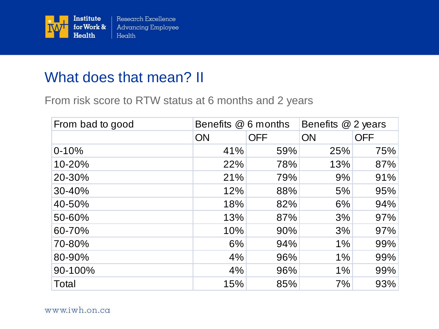

## What does that mean? II

From risk score to RTW status at 6 months and 2 years

| From bad to good | Benefits @ 6 months |            | Benefits @ 2 years |            |
|------------------|---------------------|------------|--------------------|------------|
|                  | <b>ON</b>           | <b>OFF</b> | <b>ON</b>          | <b>OFF</b> |
| $0 - 10%$        | 41%                 | 59%        | 25%                | 75%        |
| 10-20%           | 22%                 | 78%        | 13%                | 87%        |
| 20-30%           | 21%                 | 79%        | 9%                 | 91%        |
| 30-40%           | 12%                 | 88%        | 5%                 | 95%        |
| 40-50%           | 18%                 | 82%        | 6%                 | 94%        |
| 50-60%           | 13%                 | 87%        | 3%                 | 97%        |
| 60-70%           | 10%                 | 90%        | 3%                 | 97%        |
| 70-80%           | 6%                  | 94%        | 1%                 | 99%        |
| 80-90%           | 4%                  | 96%        | 1%                 | 99%        |
| 90-100%          | 4%                  | 96%        | 1%                 | 99%        |
| Total            | 15%                 | 85%        | 7%                 | 93%        |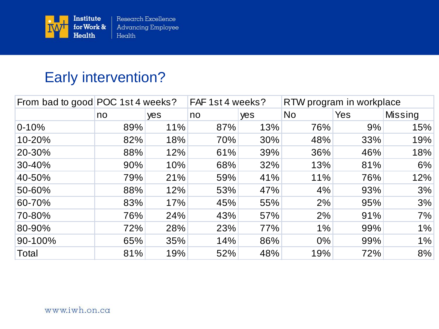

## Early intervention?

| From bad to good POC 1st 4 weeks? |     | FAF 1st 4 weeks? |     | RTW program in workplace |           |     |                |
|-----------------------------------|-----|------------------|-----|--------------------------|-----------|-----|----------------|
|                                   | no  | yes              | no  | yes                      | <b>No</b> | Yes | <b>Missing</b> |
| $0 - 10%$                         | 89% | 11%              | 87% | 13%                      | 76%       | 9%  | 15%            |
| 10-20%                            | 82% | 18%              | 70% | 30%                      | 48%       | 33% | 19%            |
| 20-30%                            | 88% | 12%              | 61% | 39%                      | 36%       | 46% | 18%            |
| 30-40%                            | 90% | 10%              | 68% | 32%                      | 13%       | 81% | 6%             |
| 40-50%                            | 79% | 21%              | 59% | 41%                      | 11%       | 76% | 12%            |
| 50-60%                            | 88% | 12%              | 53% | 47%                      | 4%        | 93% | 3%             |
| 60-70%                            | 83% | 17%              | 45% | 55%                      | 2%        | 95% | 3%             |
| 70-80%                            | 76% | 24%              | 43% | 57%                      | 2%        | 91% | 7%             |
| 80-90%                            | 72% | 28%              | 23% | 77%                      | $1\%$     | 99% | 1%             |
| 90-100%                           | 65% | 35%              | 14% | 86%                      | $0\%$     | 99% | $1\%$          |
| Total                             | 81% | 19%              | 52% | 48%                      | 19%       | 72% | 8%             |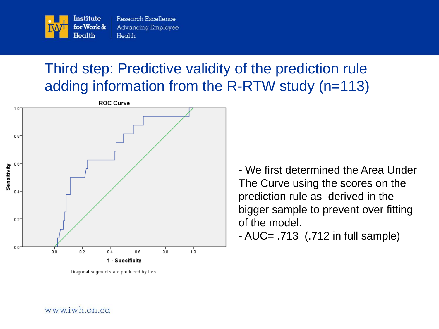

## Third step: Predictive validity of the prediction rule adding information from the R-RTW study (n=113)



Diagonal segments are produced by ties.

- We first determined the Area Under The Curve using the scores on the prediction rule as derived in the bigger sample to prevent over fitting of the model.

- AUC= .713 (.712 in full sample)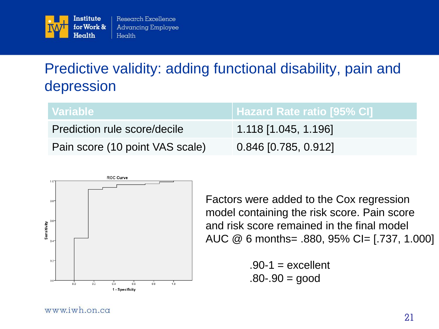

## Predictive validity: adding functional disability, pain and depression

| <b>∖ Variable</b> \             |                        |
|---------------------------------|------------------------|
| Prediction rule score/decile    | 1.118 [1.045, 1.196]   |
| Pain score (10 point VAS scale) | $0.846$ [0.785, 0.912] |



Factors were added to the Cox regression model containing the risk score. Pain score and risk score remained in the final model AUC @ 6 months= .880, 95% CI= [.737, 1.000]

> $.90-1$  = excellent  $.80 - .90 = good$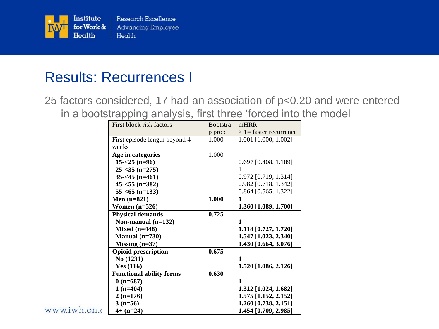

## Results: Recurrences I

25 factors considered, 17 had an association of p<0.20 and were entered in a bootstrapping analysis, first three 'forced into the model

| First block risk factors        | <b>Bootstra</b> | mHRR                      |
|---------------------------------|-----------------|---------------------------|
|                                 |                 | $> 1$ = faster recurrence |
| First episode length beyond 4   | 1.000           | $1.001$ [1.000, 1.002]    |
|                                 |                 |                           |
| Age in categories               | 1.000           |                           |
| $15 - 25$ (n=96)                |                 | 0.697 [0.408, 1.189]      |
| $25 - 35$ (n=275)               |                 |                           |
| $35 - 45$ (n=461)               |                 | 0.972 [0.719, 1.314]      |
| $45 - 55$ (n=382)               |                 | 0.982 [0.718, 1.342]      |
| $55 - 65$ (n=133)               |                 | $0.864$ [0.565, 1.322]    |
| Men $(n=821)$                   | 1.000           | 1                         |
| Women $(n=526)$                 |                 | 1.360 [1.089, 1.700]      |
| <b>Physical demands</b>         | 0.725           |                           |
| Non-manual $(n=132)$            |                 | $\mathbf 1$               |
| Mixed $(n=448)$                 |                 | 1.118 [0.727, 1.720]      |
| Manual $(n=730)$                |                 | 1.547 [1.023, 2.340]      |
| Missing $(n=37)$                |                 | 1.430 [0.664, 3.076]      |
| <b>Opioid prescription</b>      | 0.675           |                           |
| No (1231)                       |                 | $\mathbf 1$               |
| Yes $(116)$                     |                 | 1.520 [1.086, 2.126]      |
| <b>Functional ability forms</b> | 0.630           |                           |
| $0(n=687)$                      |                 | $\mathbf 1$               |
| $1(n=404)$                      |                 | 1.312 [1.024, 1.682]      |
| $2(n=176)$                      |                 | 1.575 [1.152, 2.152]      |
| $3(n=56)$                       |                 | 1.260 [0.738, 2.151]      |
| $4+ (n=24)$                     |                 | 1.454 [0.709, 2.985]      |
|                                 | weeks           | p prop                    |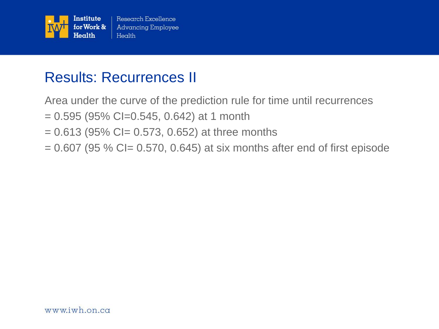

## Results: Recurrences II

Area under the curve of the prediction rule for time until recurrences

- $= 0.595$  (95% CI=0.545, 0.642) at 1 month
- $= 0.613$  (95% CI= 0.573, 0.652) at three months
- $= 0.607$  (95 % CI $= 0.570$ , 0.645) at six months after end of first episode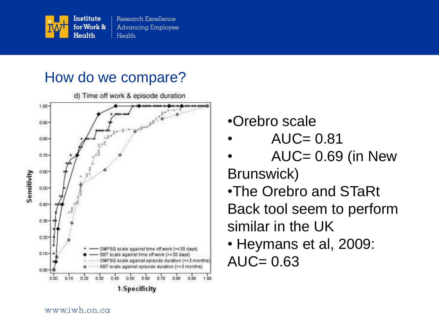

## How do we compare?



- •Orebro scale
- $AUC = 0.81$
- $AUC = 0.69$  (in New
- Brunswick) •The Orebro and STaRt Back tool seem to perform similar in the UK
- Heymans et al, 2009:  $AUC = 0.63$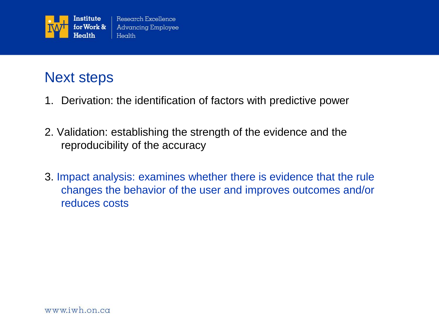

## Next steps

- 1. Derivation: the identification of factors with predictive power
- 2. Validation: establishing the strength of the evidence and the reproducibility of the accuracy
- 3. Impact analysis: examines whether there is evidence that the rule changes the behavior of the user and improves outcomes and/or reduces costs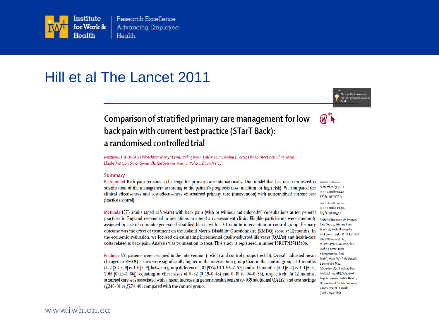

Research Excellence **Advancing Employee** Health

### Hill et al The Lancet 2011

Click on Tools to convert PDF documents to Word or



#### Comparison of stratified primary care management for low back pain with current best practice (STarT Back): a randomised controlled trial

Jonathan C Hill, David G T Whitehurst, Martyn Lewis, Stirling Bryan, Kate M Dunn, Nadine E Foster, Kika Konstantinou, Chris J Main, Elizabeth Mason, Simon Somerville, Gail Sowden, Kanchan Vohora, Elaine M Hay

#### **Summary**

Background Back pain remains a challenge for primary care internationally. One model that has not been tested is **Published Online** stratification of the management according to the patient's prognosis (low, medium, or high risk). We compared the clinical effectiveness and cost-effectiveness of stratified primary care (intervention) with non-stratified current best practice (control).

September 29, 2011 DOI:10.1016/S0140-6736(11)60937-9

See Online/Comment DOI:10.1016/S0140-6736(11)61033-7

**Arthritis Research UK Primary Care Centre, Primary Care Sciences, Keele University,** Stoke-on-Trent, UK (J C Hill PhD, D GT Whitehurst PhD, M Lewis PhD, K M Dunn PhD, Prof N E Foster DPhil, K Konstantinou PhD, Prof C I Main PhD. E Mason MSc S Somerville MSc, G Sowden MSc, K Vohora BSc, Prof E M Hay MD); School of Population and Public Health, University of British Columbia, Vancouver, BC, Canada (Prof S Bryan PhD,

Methods 1573 adults (aged  $\geq$ 18 years) with back pain (with or without radiculopathy) consultations at ten general practices in England responded to invitations to attend an assessment clinic. Eligible participants were randomly assigned by use of computer-generated stratified blocks with a 2:1 ratio to intervention or control group. Primary outcome was the effect of treatment on the Roland Morris Disability Questionnaire (RMDQ) score at 12 months. In the economic evaluation, we focused on estimating incremental quality-adjusted life years (QALYs) and health-care costs related to back pain. Analysis was by intention to treat. This study is registered, number ISRCTN37113406.

Findings 851 patients were assigned to the intervention  $(n=568)$  and control groups  $(n=283)$ . Overall, adjusted mean changes in RMDQ scores were significantly higher in the intervention group than in the control group at 4 months (4 · 7 [SD 5 · 9] vs 3 · 0 [5 · 9], between-group difference 1 · 81 [95% CI 1 · 06-2 · 57]) and at 12 months (4 · 3 [6 · 4] vs 3 · 3 [6 · 2], 1.06 [0.25-1.86]), equating to effect sizes of 0.32 (0.19-0.45) and 0.19 (0.04-0.33), respectively. At 12 months, stratified care was associated with a mean increase in generic health benefit (0.039 additional QALYs) and cost savings ( $\text{\textsterling}240.01 \text{ vs } \text{\textsterling}274.40$ ) compared with the control group.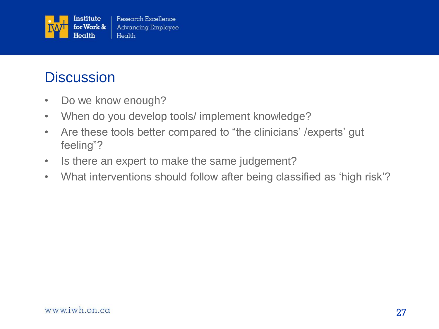

## **Discussion**

- Do we know enough?
- When do you develop tools/ implement knowledge?
- Are these tools better compared to "the clinicians' /experts' gut feeling"?
- Is there an expert to make the same judgement?
- What interventions should follow after being classified as 'high risk'?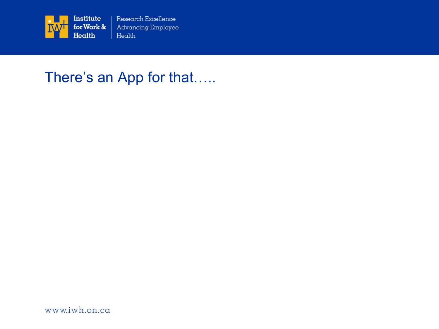

Research Excellence **Advancing Employee** Health

## There's an App for that.....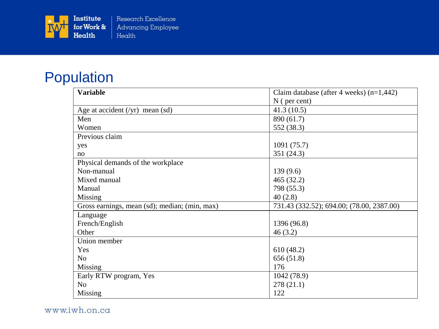

## Population

| <b>Variable</b>                               | Claim database (after 4 weeks) $(n=1,442)$ |  |
|-----------------------------------------------|--------------------------------------------|--|
|                                               | $N$ ( per cent)                            |  |
| Age at accident $(\gamma r)$ mean (sd)        | 41.3(10.5)                                 |  |
| Men                                           | 890 (61.7)                                 |  |
| Women                                         | 552 (38.3)                                 |  |
| Previous claim                                |                                            |  |
| yes                                           | 1091 (75.7)                                |  |
| no                                            | 351 (24.3)                                 |  |
| Physical demands of the workplace             |                                            |  |
| Non-manual                                    | 139(9.6)                                   |  |
| Mixed manual                                  | 465 (32.2)                                 |  |
| Manual                                        | 798 (55.3)                                 |  |
| Missing                                       | 40(2.8)                                    |  |
| Gross earnings, mean (sd); median; (min, max) | 731.43 (332.52); 694.00; (78.00, 2387.00)  |  |
| Language                                      |                                            |  |
| French/English                                | 1396 (96.8)                                |  |
| Other                                         | 46(3.2)                                    |  |
| Union member                                  |                                            |  |
| Yes                                           | 610(48.2)                                  |  |
| N <sub>0</sub>                                | 656 (51.8)                                 |  |
| Missing                                       | 176                                        |  |
| Early RTW program, Yes                        | 1042 (78.9)                                |  |
| N <sub>o</sub>                                | 278(21.1)                                  |  |
| <b>Missing</b>                                | 122                                        |  |